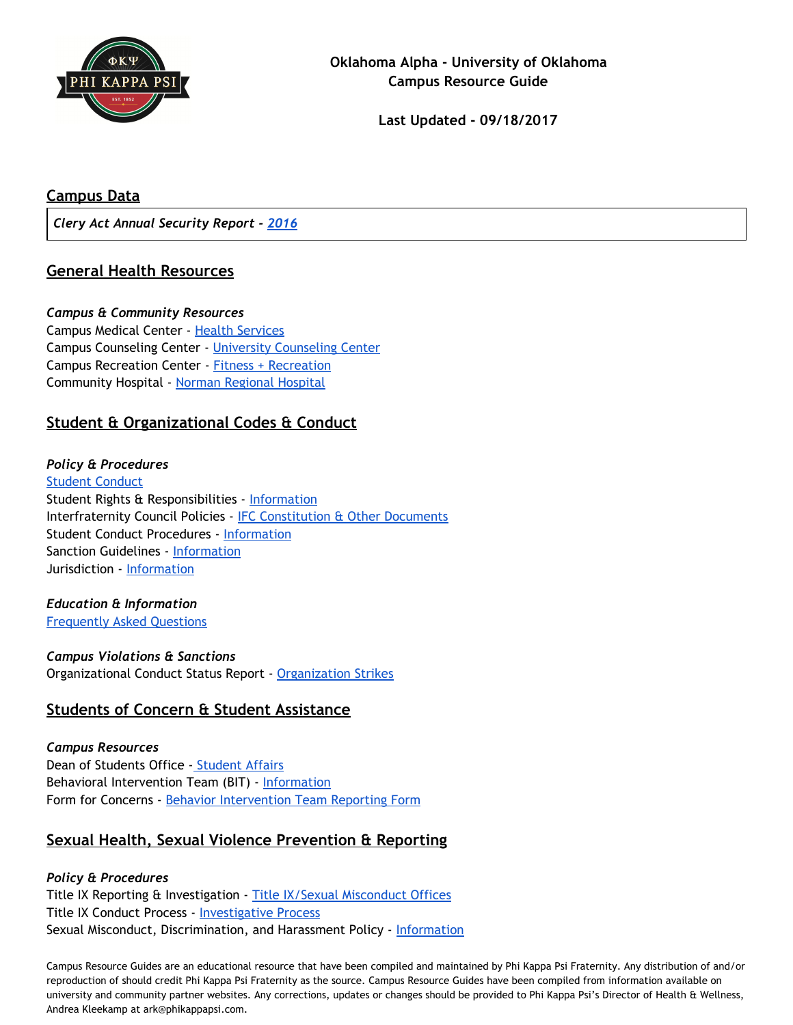

### **Campus Data**

*Clery Act Annual Security Report - [2016](http://www.ou.edu/oupd/safety.pdf)*

## **General Health Resources**

#### *Campus & Community Resources*

Campus Medical Center - Health [Services](http://www.ou.edu/content/healthservices/about.html) Campus Counseling Center - University [Counseling](http://www.ou.edu/ucc.html) Center Campus Recreation Center - Fitness + [Recreation](http://www.ou.edu/content/far/about-us.html) Community Hospital - Norman [Regional](https://www.normanregional.com/en/index.html) Hospital

# **Student & Organizational Codes & Conduct**

### *Policy & Procedures* Student [Conduct](http://www.ou.edu/studentconduct/) Student Rights & Responsibilities - [Information](http://www.ou.edu/content/dam/studentlife/documents/AllCampusStudentCode.pdf) Interfraternity Council Policies - **IFC [Constitution](http://www.ou.edu/content/studentlife/fssl/resources.html) & Other Documents** Student Conduct Procedures - [Information](http://www.ou.edu/content/dam/studentlife/documents/StudentRRCodeProcedures.pdf) Sanction Guidelines - [Information](http://www.ou.edu/content/studentconduct/sanction-guidelines.html) Jurisdiction - [Information](http://www.ou.edu/content/studentconduct/faq.html)

#### *Education & Information* [Frequently](http://www.ou.edu/content/studentconduct/faq.html) Asked Questions

*Campus Violations & Sanctions* Organizational Conduct Status Report - [Organization](http://www.ou.edu/content/studentconduct/organization-strikes.html) Strikes

# **Students of Concern & Student Assistance**

*Campus Resources* Dean of Students Office - [Student](http://www.ou.edu/studentaffairs.html) Affairs Behavioral Intervention Team (BIT) - [Information](http://www.ou.edu/normanbit/) Form for Concerns - Behavior [Intervention](https://publicdocs.maxient.com/reportingform.php?UnivofOklahoma&layout_id=3) Team Reporting Form

# **Sexual Health, Sexual Violence Prevention & Reporting**

### *Policy & Procedures*

Title IX Reporting & Investigation - Title IX/Sexual [Misconduct](http://www.ou.edu/content/eoo/institutional-equity-and-title-ix-office.html) Offices Title IX Conduct Process - [Investigative](http://www.ou.edu/eoo/policies.html) Process Sexual Misconduct, Discrimination, and Harassment Policy - [Information](http://www.ou.edu/eoo/policies.html)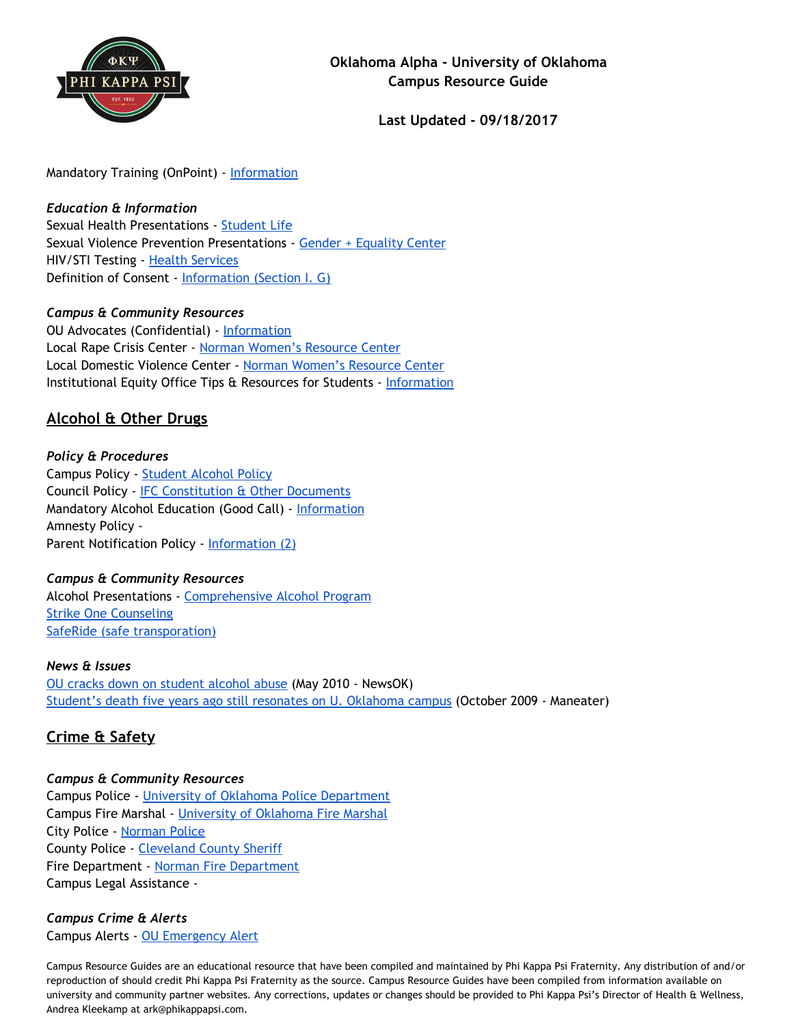

Mandatory Training (OnPoint) - [Information](http://www.ou.edu/eoo/student-online-training.html)

## *Education & Information*

Sexual Health Presentations - [Student](http://ou.edu/content/gec/health-programs.html) Life Sexual Violence Prevention Presentations - Gender + [Equality](http://www.ou.edu/studentlife/diverse_communities/gec/onesooner.html) Center HIV/STI Testing - Health [Services](http://www.ou.edu/healthservices/medical-services/labandxray.html) Definition of Consent - [Information](http://www.ou.edu/eoo/policies.html) (Section I. G)

### *Campus & Community Resources*

OU Advocates (Confidential) - [Information](https://www.ou.edu/content/eoo/campus-safety.html) Local Rape Crisis Center - Norman [Women's](http://wrcnormanok.org/) Resource Center Local Domestic Violence Center - Norman [Women's](http://wrcnormanok.org/) Resource Center Institutional Equity Office Tips & Resources for Students - [Information](http://www.ou.edu/content/eoo/faqs/faqs-for-students.html)

# **Alcohol & Other Drugs**

### *Policy & Procedures*

Campus Policy - [Student](http://www.ou.edu/content/studentlife/get_involved/student_organizations/policies/policies/jcr%3acontent/contentpar/download/file.res/Alcohol_Policy.pdf) Alcohol Policy Council Policy - IFC [Constitution](http://www.ou.edu/content/studentlife/fssl/resources.html) & Other Documents Mandatory Alcohol Education (Good Call) - [Information](http://www.ou.edu/ucc/cap/capeducation.html) Amnesty Policy - Parent Notification Policy - [Information](http://www.ou.edu/content/studentlife/get_involved/student_organizations/policies/policies/jcr%3acontent/contentpar/download/file.res/Alcohol_Policy.pdf) (2)

### *Campus & Community Resources*

Alcohol Presentations - [Comprehensive](http://www.ou.edu/content/ucc/cap.html) Alcohol Program Strike One [Counseling](http://www.ou.edu/content/ucc/cap/goddardcounselingservices.html) SafeRide (safe [transporation\)](http://www.ou.edu/studentaffairs/our_departments/saferide.html)

### *News & Issues*

OU cracks down on [student](http://newsok.com/article/3460006) alcohol abuse (May 2010 - NewsOK) Student's death five years ago still resonates on U. [Oklahoma](http://www.themaneater.com/stories/2009/10/6/students-death-five-years-ago-still-resonates-u-ok/) campus (October 2009 - Maneater)

# **Crime & Safety**

### *Campus & Community Resources*

Campus Police - University of Oklahoma Police [Department](http://www.ou.edu/content/police.html/) Campus Fire Marshal - [University](http://www.ou.edu/content/risk/fire_marshal.html) of Oklahoma Fire Marshal City Police - [Norman](http://normanpd.normanok.gov/) Police County Police - [Cleveland](http://ccso-ok.us/) County Sheriff Fire Department - Norman Fire [Department](http://www.normanok.gov/content/fire-department) Campus Legal Assistance -

# *Campus Crime & Alerts*

Campus Alerts - OU [Emergency](http://askthesooners.ou.edu/customer/portal/articles/1596372) Alert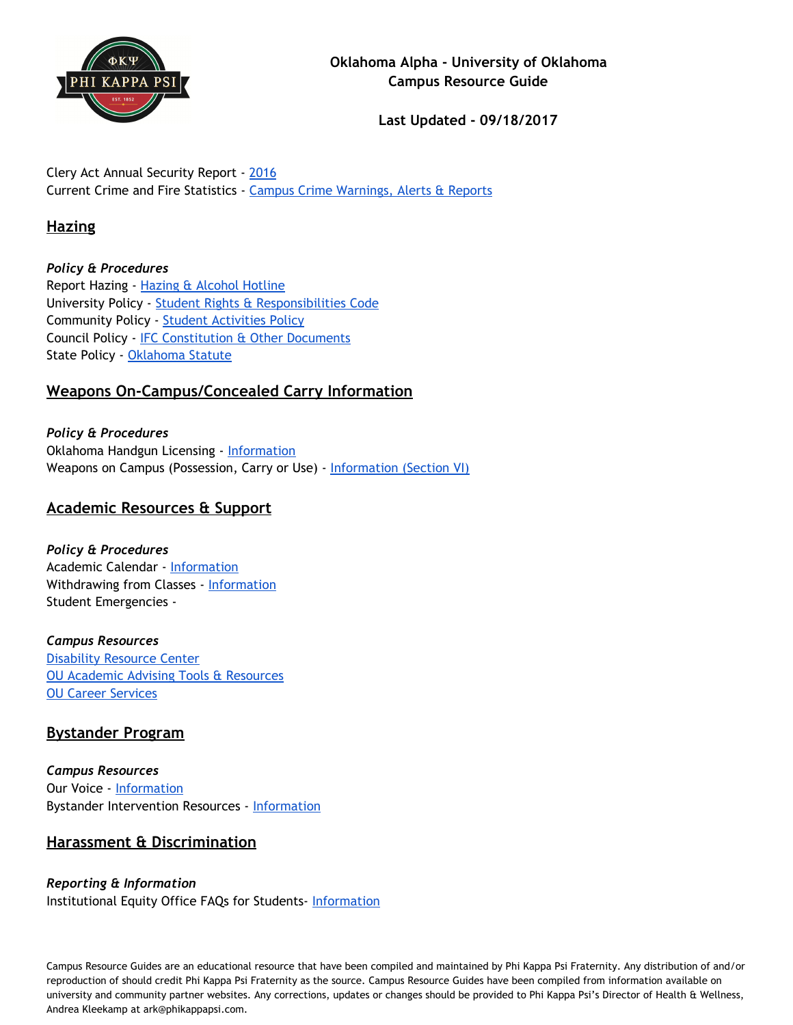

Clery Act Annual Security Report - [2016](http://www.ou.edu/oupd/safety.pdf) Current Crime and Fire Statistics - Campus Crime [Warnings,](http://www.ou.edu/content/police/crime-alerts.html) Alerts & Reports

# **Hazing**

*Policy & Procedures* Report Hazing - Hazing & [Alcohol](http://www.ou.edu/content/studentaffairs/contact-us/need-help-.html) Hotline University Policy - Student Rights & [Responsibilities](http://www.ou.edu/content/dam/studentlife/documents/AllCampusStudentCode.pdf) Code Community Policy - Student [Activities](http://www.ou.edu/content/studentlife/studenthandbook/jcr%3acontent/contentpar/download_15/file.res/StudentActivitiesPolicy.pdf) Policy Council Policy - IFC [Constitution](http://www.ou.edu/content/studentlife/fssl/resources.html) & Other Documents State Policy - [Oklahoma](http://www.ou.edu/content/dam/studentlife/documents/hazing-3.pdf) Statute

# **Weapons On-Campus/Concealed Carry Information**

*Policy & Procedures* Oklahoma Handgun Licensing - [Information](https://www.ok.gov/osbi/Handgun_Licensing/) Weapons on Campus (Possession, Carry or Use) - [Information](http://www.ou.edu/content/dam/studentlife/documents/AllCampusStudentCode.pdf) (Section VI)

# **Academic Resources & Support**

*Policy & Procedures* Academic Calendar - [Information](http://www.ou.edu/admissions/academic_calendar.html) Withdrawing from Classes - [Information](http://www.ou.edu/advising/enrollment/drop_a_class.html) Student Emergencies -

*Campus Resources* [Disability](http://www.ou.edu/drc/) Resource Center OU Academic Advising Tools & [Resources](http://www.ou.edu/content/advising/tools_and_resources.html) OU Career [Services](http://www.ou.edu/career/)

# **Bystander Program**

*Campus Resources* Our Voice - [Information](http://www.ou.edu/content/notonourcampus/howtohelp.html#1) Bystander Intervention Resources - [Information](http://www.ou.edu/content/notonourcampus/resources.html)

# **Harassment & Discrimination**

*Reporting & Information* Institutional Equity Office FAQs for Students- [Information](http://www.ou.edu/content/eoo/faqs.html)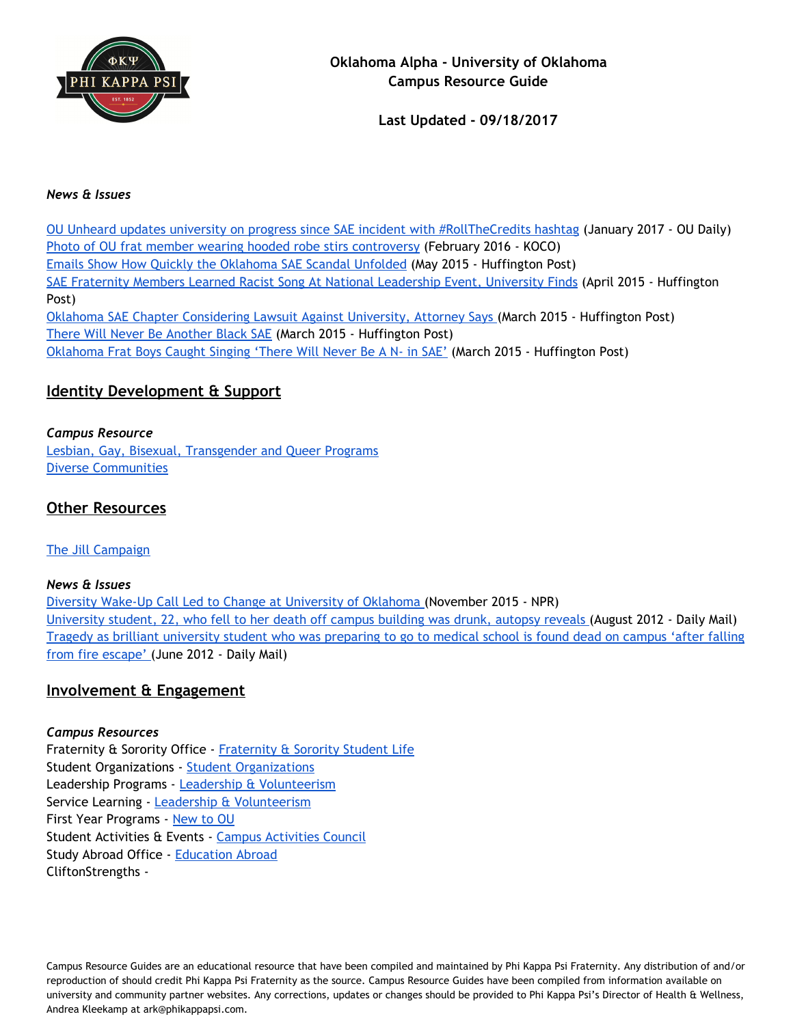

#### *News & Issues*

OU Unheard updates university on progress since SAE incident with [#RollTheCredits](http://www.oudaily.com/news/ou-unheard-updates-university-on-progress-since-sae-incident-with/article_ec7511dc-e357-11e6-832f-c3f6c97cc793.html) hashtag (January 2017 - OU Daily) Photo of OU frat member wearing hooded robe stirs [controversy](http://www.koco.com/news/photo-of-ou-frat-member-wearing-hooded-robe-stirs-controversy/37927746) (February 2016 - KOCO) Emails Show How Quickly the [Oklahoma](http://www.huffingtonpost.com/2015/05/29/emails-oklahoma-sae-scandal_n_7470972.html) SAE Scandal Unfolded (May 2015 - Huffington Post) SAE Fraternity Members Learned Racist Song At National [Leadership](http://www.huffingtonpost.com/2015/03/27/sae-fraternity-racist-song_n_6956790.html) Event, University Finds (April 2015 - Huffington Post) Oklahoma SAE Chapter [Considering](http://www.huffingtonpost.com/2015/03/13/sae-lawsuit_n_6866062.html) Lawsuit Against University, Attorney Says (March 2015 - Huffington Post) There Will Never Be [Another](http://www.huffingtonpost.com/william-james/there-will-never-be-another-black-s-a-e_b_6833640.html) Black SAE (March 2015 - Huffington Post) [Oklahoma](http://www.huffingtonpost.com/2015/03/08/frat-racist-sae-oklahoma_n_6828212.html) Frat Boys Caught Singing 'There Will Never Be A N- in SAE' (March 2015 - Huffington Post)

### **Identity Development & Support**

#### *Campus Resource*

Lesbian, Gay, Bisexual, [Transgender](http://www.ou.edu/content/studentlife/diverse_communities/lgbtq.html) and Queer Programs Diverse [Communities](http://www.ou.edu/content/studentlife/diverse_communities.html)

### **Other Resources**

#### The Jill [Campaign](http://www.ou.edu/content/ucc/the-jill-campaign.html)

#### *News & Issues*

Diversity Wake-Up Call Led to Change at [University](http://www.npr.org/2015/11/13/455936712/university-of-oklahoma-implements-diversity-training-after-scrutiny) of Oklahoma (November 2015 - NPR) [University](http://www.dailymail.co.uk/news/article-2192045/Casey-Cooke-Co-ed-fell-death-University-Oklahoma-building-drunk-autopsy-reveals.html) student, 22, who fell to her death off campus building was drunk, autopsy reveals (August 2012 - Daily Mail) Tragedy as brilliant [university](http://www.dailymail.co.uk/news/article-2154631/Casey-Cooke-Promising-University-Oklahoma-student-preparing-to-medical-school-dead-campus.html) student who was preparing to go to medical school is found dead on campus 'after falling from fire [escape'](http://www.dailymail.co.uk/news/article-2154631/Casey-Cooke-Promising-University-Oklahoma-student-preparing-to-medical-school-dead-campus.html) (June 2012 - Daily Mail)

### **Involvement & Engagement**

### *Campus Resources*

Fraternity & Sorority Office - [Fraternity](http://www.ou.edu/content/studentlife/get_involved/fssl.html) & Sorority Student Life Student [Organizations](http://www.ou.edu/content/studentlife/get_involved/student_organizations.html) - Student Organizations Leadership Programs - Leadership & [Volunteerism](http://www.ou.edu/content/leadandvolunteer.html) Service Learning - Leadership & [Volunteerism](http://www.ou.edu/content/leadandvolunteer.html) First Year Programs - [New](http://www.ou.edu/content/studentlife/new_to_ou/sow.html) to OU Student Activities & Events - Campus [Activities](http://www.ou.edu/sga/cac/) Council Study Abroad Office - [Education](http://www.ou.edu/cis/education_abroad.html) Abroad CliftonStrengths -